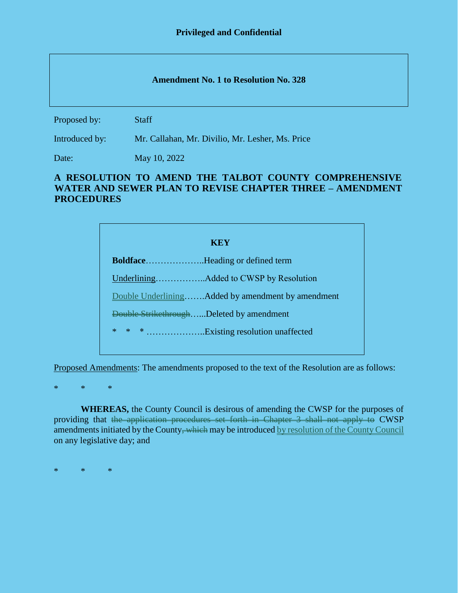## **Amendment No. 1 to Resolution No. 328**

Proposed by: Staff

Introduced by: Mr. Callahan, Mr. Divilio, Mr. Lesher, Ms. Price

Date: May 10, 2022

## **A RESOLUTION TO AMEND THE TALBOT COUNTY COMPREHENSIVE WATER AND SEWER PLAN TO REVISE CHAPTER THREE – AMENDMENT PROCEDURES**

| <b>KEY</b>                                        |
|---------------------------------------------------|
|                                                   |
|                                                   |
| Double UnderliningAdded by amendment by amendment |
| Double StrikethroughDeleted by amendment          |
| * * * Existing resolution unaffected              |
|                                                   |

Proposed Amendments: The amendments proposed to the text of the Resolution are as follows:

\* \* \*

**WHEREAS,** the County Council is desirous of amending the CWSP for the purposes of providing that the application procedures set forth in Chapter 3 shall not apply to CWSP amendments initiated by the County<del>, which</del> may be introduced by resolution of the County Council on any legislative day; and

\* \* \*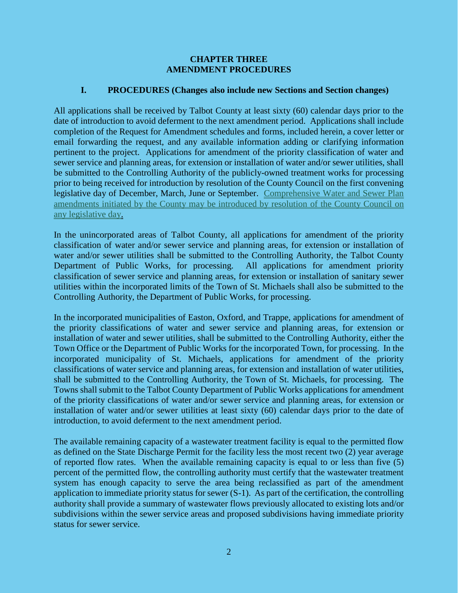## **CHAPTER THREE AMENDMENT PROCEDURES**

## **I. PROCEDURES (Changes also include new Sections and Section changes)**

All applications shall be received by Talbot County at least sixty (60) calendar days prior to the date of introduction to avoid deferment to the next amendment period. Applications shall include completion of the Request for Amendment schedules and forms, included herein, a cover letter or email forwarding the request, and any available information adding or clarifying information pertinent to the project. Applications for amendment of the priority classification of water and sewer service and planning areas, for extension or installation of water and/or sewer utilities, shall be submitted to the Controlling Authority of the publicly-owned treatment works for processing prior to being received for introduction by resolution of the County Council on the first convening legislative day of December, March, June or September. Comprehensive Water and Sewer Plan amendments initiated by the County may be introduced by resolution of the County Council on any legislative day.

In the unincorporated areas of Talbot County, all applications for amendment of the priority classification of water and/or sewer service and planning areas, for extension or installation of water and/or sewer utilities shall be submitted to the Controlling Authority, the Talbot County Department of Public Works, for processing. All applications for amendment priority classification of sewer service and planning areas, for extension or installation of sanitary sewer utilities within the incorporated limits of the Town of St. Michaels shall also be submitted to the Controlling Authority, the Department of Public Works, for processing.

In the incorporated municipalities of Easton, Oxford, and Trappe, applications for amendment of the priority classifications of water and sewer service and planning areas, for extension or installation of water and sewer utilities, shall be submitted to the Controlling Authority, either the Town Office or the Department of Public Works for the incorporated Town, for processing. In the incorporated municipality of St. Michaels, applications for amendment of the priority classifications of water service and planning areas, for extension and installation of water utilities, shall be submitted to the Controlling Authority, the Town of St. Michaels, for processing. The Towns shall submit to the Talbot County Department of Public Works applications for amendment of the priority classifications of water and/or sewer service and planning areas, for extension or installation of water and/or sewer utilities at least sixty (60) calendar days prior to the date of introduction, to avoid deferment to the next amendment period.

The available remaining capacity of a wastewater treatment facility is equal to the permitted flow as defined on the State Discharge Permit for the facility less the most recent two (2) year average of reported flow rates. When the available remaining capacity is equal to or less than five (5) percent of the permitted flow, the controlling authority must certify that the wastewater treatment system has enough capacity to serve the area being reclassified as part of the amendment application to immediate priority status for sewer (S-1). As part of the certification, the controlling authority shall provide a summary of wastewater flows previously allocated to existing lots and/or subdivisions within the sewer service areas and proposed subdivisions having immediate priority status for sewer service.